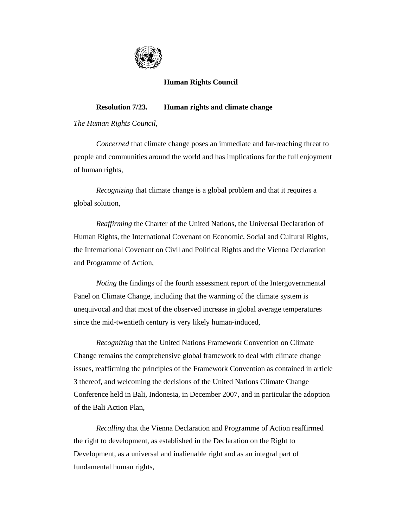

## **Human Rights Council**

## **Resolution 7/23. Human rights and climate change**

*The Human Rights Council*,

*Concerned* that climate change poses an immediate and far-reaching threat to people and communities around the world and has implications for the full enjoyment of human rights,

*Recognizing* that climate change is a global problem and that it requires a global solution,

*Reaffirming* the Charter of the United Nations, the Universal Declaration of Human Rights, the International Covenant on Economic, Social and Cultural Rights, the International Covenant on Civil and Political Rights and the Vienna Declaration and Programme of Action,

*Noting* the findings of the fourth assessment report of the Intergovernmental Panel on Climate Change, including that the warming of the climate system is unequivocal and that most of the observed increase in global average temperatures since the mid-twentieth century is very likely human-induced,

 *Recognizing* that the United Nations Framework Convention on Climate Change remains the comprehensive global framework to deal with climate change issues, reaffirming the principles of the Framework Convention as contained in article 3 thereof, and welcoming the decisions of the United Nations Climate Change Conference held in Bali, Indonesia, in December 2007, and in particular the adoption of the Bali Action Plan,

 *Recalling* that the Vienna Declaration and Programme of Action reaffirmed the right to development, as established in the Declaration on the Right to Development, as a universal and inalienable right and as an integral part of fundamental human rights,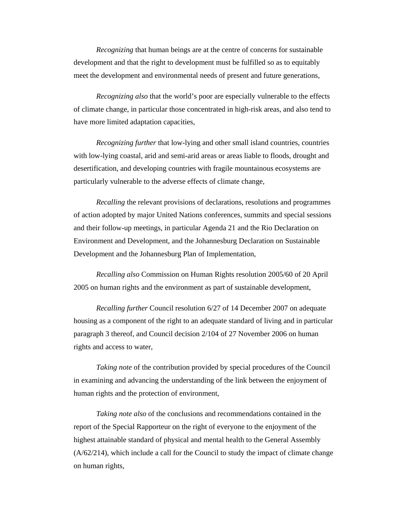*Recognizing* that human beings are at the centre of concerns for sustainable development and that the right to development must be fulfilled so as to equitably meet the development and environmental needs of present and future generations,

 *Recognizing also* that the world's poor are especially vulnerable to the effects of climate change, in particular those concentrated in high-risk areas, and also tend to have more limited adaptation capacities,

*Recognizing further* that low-lying and other small island countries, countries with low-lying coastal, arid and semi-arid areas or areas liable to floods, drought and desertification, and developing countries with fragile mountainous ecosystems are particularly vulnerable to the adverse effects of climate change,

 *Recalling* the relevant provisions of declarations, resolutions and programmes of action adopted by major United Nations conferences, summits and special sessions and their follow-up meetings, in particular Agenda 21 and the Rio Declaration on Environment and Development, and the Johannesburg Declaration on Sustainable Development and the Johannesburg Plan of Implementation,

*Recalling also* Commission on Human Rights resolution 2005/60 of 20 April 2005 on human rights and the environment as part of sustainable development,

 *Recalling further* Council resolution 6/27 of 14 December 2007 on adequate housing as a component of the right to an adequate standard of living and in particular paragraph 3 thereof, and Council decision 2/104 of 27 November 2006 on human rights and access to water,

*Taking note* of the contribution provided by special procedures of the Council in examining and advancing the understanding of the link between the enjoyment of human rights and the protection of environment,

*Taking note also* of the conclusions and recommendations contained in the report of the Special Rapporteur on the right of everyone to the enjoyment of the highest attainable standard of physical and mental health to the General Assembly (A/62/214), which include a call for the Council to study the impact of climate change on human rights,